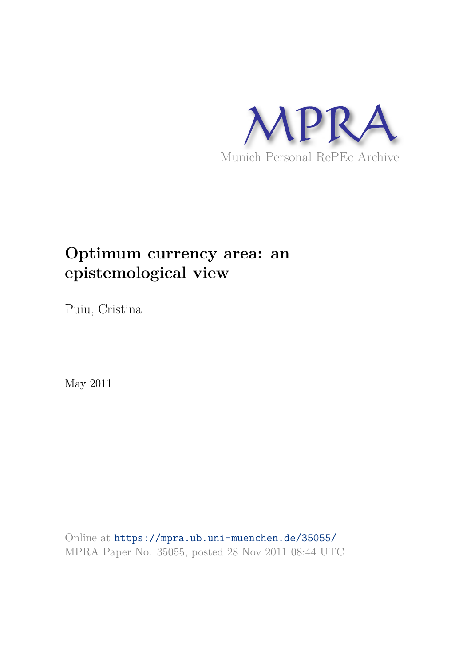

# **Optimum currency area: an epistemological view**

Puiu, Cristina

May 2011

Online at https://mpra.ub.uni-muenchen.de/35055/ MPRA Paper No. 35055, posted 28 Nov 2011 08:44 UTC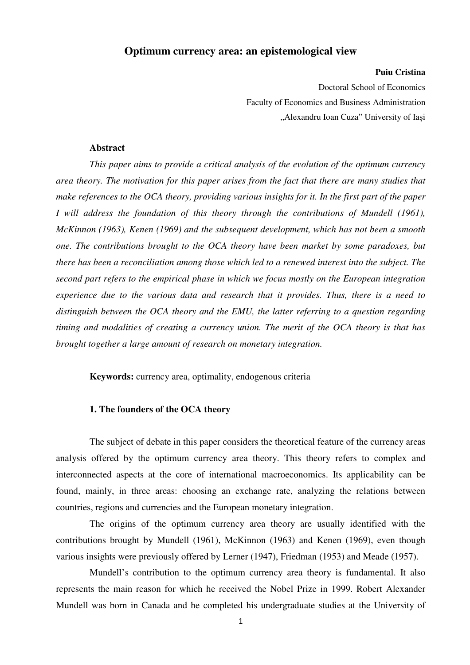# **Optimum currency area: an epistemological view**

#### **Puiu Cristina**

Doctoral School of Economics Faculty of Economics and Business Administration "Alexandru Ioan Cuza" University of Iași

#### **Abstract**

*This paper aims to provide a critical analysis of the evolution of the optimum currency area theory. The motivation for this paper arises from the fact that there are many studies that make references to the OCA theory, providing various insights for it. In the first part of the paper I* will address the foundation of this theory through the contributions of Mundell (1961), *McKinnon (1963), Kenen (1969) and the subsequent development, which has not been a smooth one. The contributions brought to the OCA theory have been market by some paradoxes, but there has been a reconciliation among those which led to a renewed interest into the subject. The second part refers to the empirical phase in which we focus mostly on the European integration experience due to the various data and research that it provides. Thus, there is a need to distinguish between the OCA theory and the EMU, the latter referring to a question regarding timing and modalities of creating a currency union. The merit of the OCA theory is that has brought together a large amount of research on monetary integration.* 

**Keywords:** currency area, optimality, endogenous criteria

#### **1. The founders of the OCA theory**

The subject of debate in this paper considers the theoretical feature of the currency areas analysis offered by the optimum currency area theory. This theory refers to complex and interconnected aspects at the core of international macroeconomics. Its applicability can be found, mainly, in three areas: choosing an exchange rate, analyzing the relations between countries, regions and currencies and the European monetary integration.

The origins of the optimum currency area theory are usually identified with the contributions brought by Mundell (1961), McKinnon (1963) and Kenen (1969), even though various insights were previously offered by Lerner (1947), Friedman (1953) and Meade (1957).

Mundell's contribution to the optimum currency area theory is fundamental. It also represents the main reason for which he received the Nobel Prize in 1999. Robert Alexander Mundell was born in Canada and he completed his undergraduate studies at the University of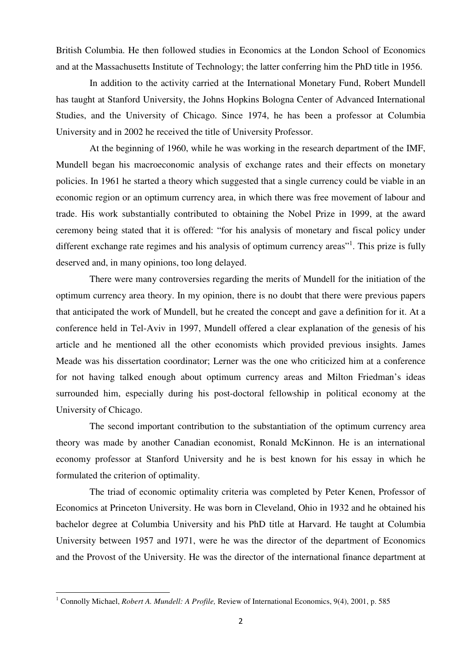British Columbia. He then followed studies in Economics at the London School of Economics and at the Massachusetts Institute of Technology; the latter conferring him the PhD title in 1956.

In addition to the activity carried at the International Monetary Fund, Robert Mundell has taught at Stanford University, the Johns Hopkins Bologna Center of Advanced International Studies, and the University of Chicago. Since 1974, he has been a professor at Columbia University and in 2002 he received the title of University Professor.

At the beginning of 1960, while he was working in the research department of the IMF, Mundell began his macroeconomic analysis of exchange rates and their effects on monetary policies. In 1961 he started a theory which suggested that a single currency could be viable in an economic region or an optimum currency area, in which there was free movement of labour and trade. His work substantially contributed to obtaining the Nobel Prize in 1999, at the award ceremony being stated that it is offered: "for his analysis of monetary and fiscal policy under different exchange rate regimes and his analysis of optimum currency areas"<sup>1</sup>. This prize is fully deserved and, in many opinions, too long delayed.

There were many controversies regarding the merits of Mundell for the initiation of the optimum currency area theory. In my opinion, there is no doubt that there were previous papers that anticipated the work of Mundell, but he created the concept and gave a definition for it. At a conference held in Tel-Aviv in 1997, Mundell offered a clear explanation of the genesis of his article and he mentioned all the other economists which provided previous insights. James Meade was his dissertation coordinator; Lerner was the one who criticized him at a conference for not having talked enough about optimum currency areas and Milton Friedman's ideas surrounded him, especially during his post-doctoral fellowship in political economy at the University of Chicago.

The second important contribution to the substantiation of the optimum currency area theory was made by another Canadian economist, Ronald McKinnon. He is an international economy professor at Stanford University and he is best known for his essay in which he formulated the criterion of optimality.

The triad of economic optimality criteria was completed by Peter Kenen, Professor of Economics at Princeton University. He was born in Cleveland, Ohio in 1932 and he obtained his bachelor degree at Columbia University and his PhD title at Harvard. He taught at Columbia University between 1957 and 1971, were he was the director of the department of Economics and the Provost of the University. He was the director of the international finance department at

 $\overline{a}$ 

<sup>&</sup>lt;sup>1</sup> Connolly Michael, *Robert A. Mundell: A Profile*, Review of International Economics, 9(4), 2001, p. 585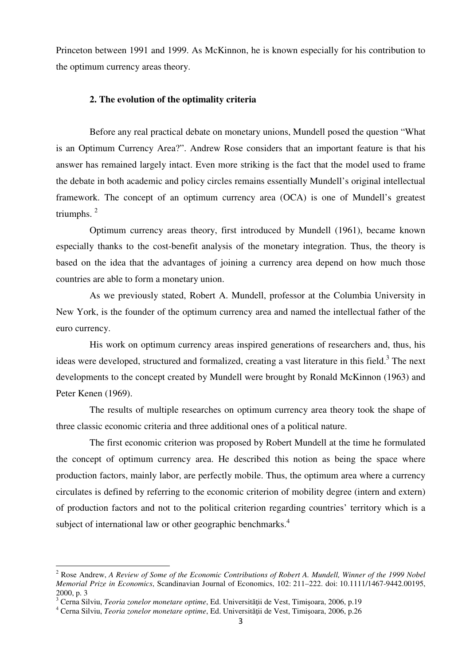Princeton between 1991 and 1999. As McKinnon, he is known especially for his contribution to the optimum currency areas theory.

## **2. The evolution of the optimality criteria**

Before any real practical debate on monetary unions, Mundell posed the question "What is an Optimum Currency Area?". Andrew Rose considers that an important feature is that his answer has remained largely intact. Even more striking is the fact that the model used to frame the debate in both academic and policy circles remains essentially Mundell's original intellectual framework. The concept of an optimum currency area (OCA) is one of Mundell's greatest triumphs. $<sup>2</sup>$ </sup>

Optimum currency areas theory, first introduced by Mundell (1961), became known especially thanks to the cost-benefit analysis of the monetary integration. Thus, the theory is based on the idea that the advantages of joining a currency area depend on how much those countries are able to form a monetary union.

As we previously stated, Robert A. Mundell, professor at the Columbia University in New York, is the founder of the optimum currency area and named the intellectual father of the euro currency.

His work on optimum currency areas inspired generations of researchers and, thus, his ideas were developed, structured and formalized, creating a vast literature in this field.<sup>3</sup> The next developments to the concept created by Mundell were brought by Ronald McKinnon (1963) and Peter Kenen (1969).

The results of multiple researches on optimum currency area theory took the shape of three classic economic criteria and three additional ones of a political nature.

The first economic criterion was proposed by Robert Mundell at the time he formulated the concept of optimum currency area. He described this notion as being the space where production factors, mainly labor, are perfectly mobile. Thus, the optimum area where a currency circulates is defined by referring to the economic criterion of mobility degree (intern and extern) of production factors and not to the political criterion regarding countries' territory which is a subject of international law or other geographic benchmarks.<sup>4</sup>

 $\overline{a}$ 

<sup>2</sup> Rose Andrew, *A Review of Some of the Economic Contributions of Robert A. Mundell, Winner of the 1999 Nobel Memorial Prize in Economics*, Scandinavian Journal of Economics, 102: 211–222. doi: 10.1111/1467-9442.00195, 2000, p. 3

<sup>&</sup>lt;sup>3</sup> Cerna Silviu, *Teoria zonelor monetare optime*, Ed. Universității de Vest, Timișoara, 2006, p.19

<sup>&</sup>lt;sup>4</sup> Cerna Silviu, *Teoria zonelor monetare optime*, Ed. Universității de Vest, Timișoara, 2006, p.26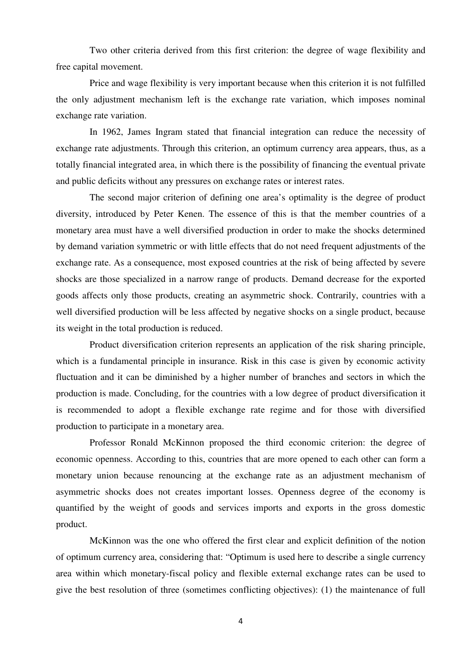Two other criteria derived from this first criterion: the degree of wage flexibility and free capital movement.

Price and wage flexibility is very important because when this criterion it is not fulfilled the only adjustment mechanism left is the exchange rate variation, which imposes nominal exchange rate variation.

In 1962, James Ingram stated that financial integration can reduce the necessity of exchange rate adjustments. Through this criterion, an optimum currency area appears, thus, as a totally financial integrated area, in which there is the possibility of financing the eventual private and public deficits without any pressures on exchange rates or interest rates.

The second major criterion of defining one area's optimality is the degree of product diversity, introduced by Peter Kenen. The essence of this is that the member countries of a monetary area must have a well diversified production in order to make the shocks determined by demand variation symmetric or with little effects that do not need frequent adjustments of the exchange rate. As a consequence, most exposed countries at the risk of being affected by severe shocks are those specialized in a narrow range of products. Demand decrease for the exported goods affects only those products, creating an asymmetric shock. Contrarily, countries with a well diversified production will be less affected by negative shocks on a single product, because its weight in the total production is reduced.

Product diversification criterion represents an application of the risk sharing principle, which is a fundamental principle in insurance. Risk in this case is given by economic activity fluctuation and it can be diminished by a higher number of branches and sectors in which the production is made. Concluding, for the countries with a low degree of product diversification it is recommended to adopt a flexible exchange rate regime and for those with diversified production to participate in a monetary area.

Professor Ronald McKinnon proposed the third economic criterion: the degree of economic openness. According to this, countries that are more opened to each other can form a monetary union because renouncing at the exchange rate as an adjustment mechanism of asymmetric shocks does not creates important losses. Openness degree of the economy is quantified by the weight of goods and services imports and exports in the gross domestic product.

McKinnon was the one who offered the first clear and explicit definition of the notion of optimum currency area, considering that: "Optimum is used here to describe a single currency area within which monetary-fiscal policy and flexible external exchange rates can be used to give the best resolution of three (sometimes conflicting objectives): (1) the maintenance of full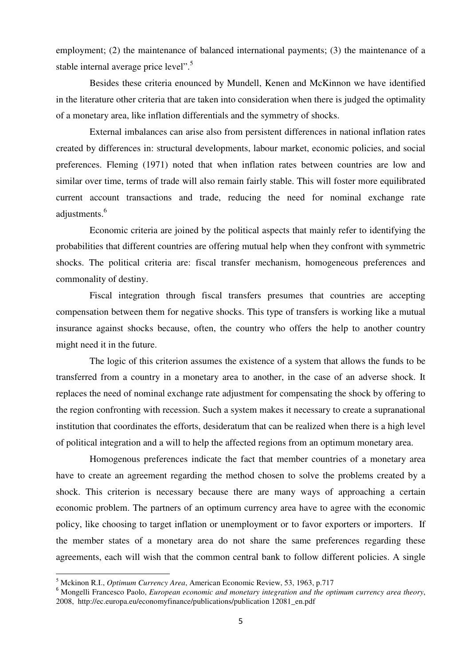employment; (2) the maintenance of balanced international payments; (3) the maintenance of a stable internal average price level".<sup>5</sup>

Besides these criteria enounced by Mundell, Kenen and McKinnon we have identified in the literature other criteria that are taken into consideration when there is judged the optimality of a monetary area, like inflation differentials and the symmetry of shocks.

External imbalances can arise also from persistent differences in national inflation rates created by differences in: structural developments, labour market, economic policies, and social preferences. Fleming (1971) noted that when inflation rates between countries are low and similar over time, terms of trade will also remain fairly stable. This will foster more equilibrated current account transactions and trade, reducing the need for nominal exchange rate adjustments.<sup>6</sup>

Economic criteria are joined by the political aspects that mainly refer to identifying the probabilities that different countries are offering mutual help when they confront with symmetric shocks. The political criteria are: fiscal transfer mechanism, homogeneous preferences and commonality of destiny.

Fiscal integration through fiscal transfers presumes that countries are accepting compensation between them for negative shocks. This type of transfers is working like a mutual insurance against shocks because, often, the country who offers the help to another country might need it in the future.

The logic of this criterion assumes the existence of a system that allows the funds to be transferred from a country in a monetary area to another, in the case of an adverse shock. It replaces the need of nominal exchange rate adjustment for compensating the shock by offering to the region confronting with recession. Such a system makes it necessary to create a supranational institution that coordinates the efforts, desideratum that can be realized when there is a high level of political integration and a will to help the affected regions from an optimum monetary area.

Homogenous preferences indicate the fact that member countries of a monetary area have to create an agreement regarding the method chosen to solve the problems created by a shock. This criterion is necessary because there are many ways of approaching a certain economic problem. The partners of an optimum currency area have to agree with the economic policy, like choosing to target inflation or unemployment or to favor exporters or importers. If the member states of a monetary area do not share the same preferences regarding these agreements, each will wish that the common central bank to follow different policies. A single

 $\overline{a}$ 

<sup>5</sup> Mckinon R.I., *Optimum Currency Area*, American Economic Review, 53, 1963, p.717

<sup>6</sup> Mongelli Francesco Paolo, *European economic and monetary integration and the optimum currency area theory*, 2008, http://ec.europa.eu/economyfinance/publications/publication 12081\_en.pdf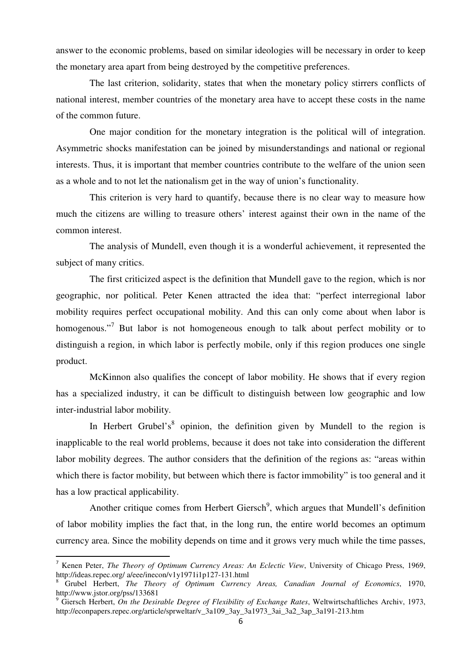answer to the economic problems, based on similar ideologies will be necessary in order to keep the monetary area apart from being destroyed by the competitive preferences.

The last criterion, solidarity, states that when the monetary policy stirrers conflicts of national interest, member countries of the monetary area have to accept these costs in the name of the common future.

One major condition for the monetary integration is the political will of integration. Asymmetric shocks manifestation can be joined by misunderstandings and national or regional interests. Thus, it is important that member countries contribute to the welfare of the union seen as a whole and to not let the nationalism get in the way of union's functionality.

This criterion is very hard to quantify, because there is no clear way to measure how much the citizens are willing to treasure others' interest against their own in the name of the common interest.

The analysis of Mundell, even though it is a wonderful achievement, it represented the subject of many critics.

The first criticized aspect is the definition that Mundell gave to the region, which is nor geographic, nor political. Peter Kenen attracted the idea that: "perfect interregional labor mobility requires perfect occupational mobility. And this can only come about when labor is homogenous."<sup>7</sup> But labor is not homogeneous enough to talk about perfect mobility or to distinguish a region, in which labor is perfectly mobile, only if this region produces one single product.

McKinnon also qualifies the concept of labor mobility. He shows that if every region has a specialized industry, it can be difficult to distinguish between low geographic and low inter-industrial labor mobility.

In Herbert Grubel's<sup>8</sup> opinion, the definition given by Mundell to the region is inapplicable to the real world problems, because it does not take into consideration the different labor mobility degrees. The author considers that the definition of the regions as: "areas within which there is factor mobility, but between which there is factor immobility" is too general and it has a low practical applicability.

Another critique comes from Herbert Giersch<sup>9</sup>, which argues that Mundell's definition of labor mobility implies the fact that, in the long run, the entire world becomes an optimum currency area. Since the mobility depends on time and it grows very much while the time passes,

l

<sup>7</sup> Kenen Peter, *The Theory of Optimum Currency Areas: An Eclectic View*, University of Chicago Press, 1969, http://ideas.repec.org/ a/eee/inecon/v1y1971i1p127-131.html

<sup>8</sup> Grubel Herbert, *The Theory of Optimum Currency Areas, Canadian Journal of Economics*, 1970, http://www.jstor.org/pss/133681

<sup>9</sup> Giersch Herbert, *On the Desirable Degree of Flexibility of Exchange Rates*, Weltwirtschaftliches Archiv, 1973, http://econpapers.repec.org/article/sprweltar/v\_3a109\_3ay\_3a1973\_3ai\_3a2\_3ap\_3a191-213.htm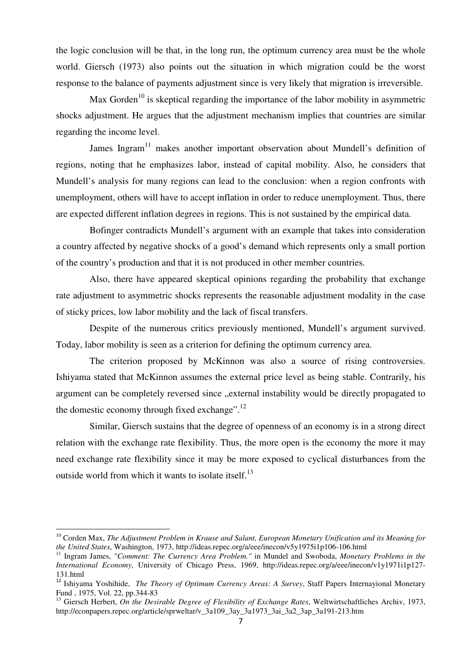the logic conclusion will be that, in the long run, the optimum currency area must be the whole world. Giersch (1973) also points out the situation in which migration could be the worst response to the balance of payments adjustment since is very likely that migration is irreversible.

Max Gorden<sup>10</sup> is skeptical regarding the importance of the labor mobility in asymmetric shocks adjustment. He argues that the adjustment mechanism implies that countries are similar regarding the income level.

James Ingram<sup>11</sup> makes another important observation about Mundell's definition of regions, noting that he emphasizes labor, instead of capital mobility. Also, he considers that Mundell's analysis for many regions can lead to the conclusion: when a region confronts with unemployment, others will have to accept inflation in order to reduce unemployment. Thus, there are expected different inflation degrees in regions. This is not sustained by the empirical data.

Bofinger contradicts Mundell's argument with an example that takes into consideration a country affected by negative shocks of a good's demand which represents only a small portion of the country's production and that it is not produced in other member countries.

Also, there have appeared skeptical opinions regarding the probability that exchange rate adjustment to asymmetric shocks represents the reasonable adjustment modality in the case of sticky prices, low labor mobility and the lack of fiscal transfers.

Despite of the numerous critics previously mentioned, Mundell's argument survived. Today, labor mobility is seen as a criterion for defining the optimum currency area.

The criterion proposed by McKinnon was also a source of rising controversies. Ishiyama stated that McKinnon assumes the external price level as being stable. Contrarily, his argument can be completely reversed since ..external instability would be directly propagated to the domestic economy through fixed exchange".<sup>12</sup>

Similar, Giersch sustains that the degree of openness of an economy is in a strong direct relation with the exchange rate flexibility. Thus, the more open is the economy the more it may need exchange rate flexibility since it may be more exposed to cyclical disturbances from the outside world from which it wants to isolate itself.<sup>13</sup>

l

<sup>&</sup>lt;sup>10</sup> Corden Max, *The Adjustment Problem in Krause and Salant, European Monetary Unification and its Meaning for the United States*, Washington, 1973, http://ideas.repec.org/a/eee/inecon/v5y1975i1p106-106.html

<sup>&</sup>lt;sup>11</sup> Ingram James, "Comment: The Currency Area Problem." in Mundel and Swoboda, Monetary Problems in the *International Economy*, University of Chicago Press, 1969, http://ideas.repec.org/a/eee/inecon/v1y1971i1p127- 131.html

<sup>12</sup> Ishiyama Yoshihide, *The Theory of Optimum Currency Areas: A Survey*, Staff Papers Internayional Monetary Fund , 1975, Vol. 22, pp.344-83

<sup>&</sup>lt;sup>13</sup> Giersch Herbert, *On the Desirable Degree of Flexibility of Exchange Rates*, Weltwirtschaftliches Archiv, 1973, http://econpapers.repec.org/article/sprweltar/v\_3a109\_3ay\_3a1973\_3ai\_3a2\_3ap\_3a191-213.htm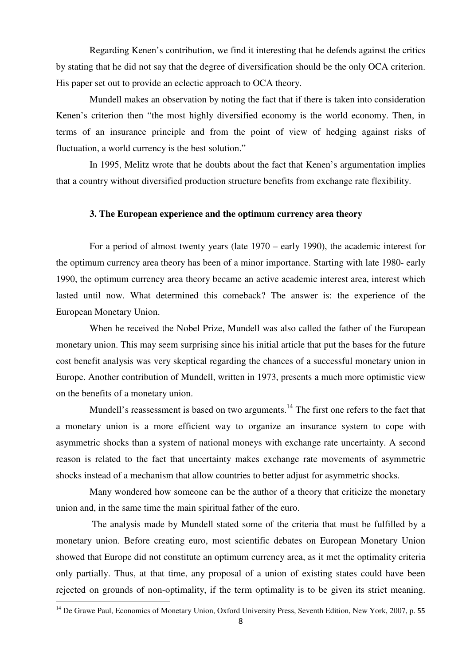Regarding Kenen's contribution, we find it interesting that he defends against the critics by stating that he did not say that the degree of diversification should be the only OCA criterion. His paper set out to provide an eclectic approach to OCA theory.

Mundell makes an observation by noting the fact that if there is taken into consideration Kenen's criterion then "the most highly diversified economy is the world economy. Then, in terms of an insurance principle and from the point of view of hedging against risks of fluctuation, a world currency is the best solution."

In 1995, Melitz wrote that he doubts about the fact that Kenen's argumentation implies that a country without diversified production structure benefits from exchange rate flexibility.

# **3. The European experience and the optimum currency area theory**

For a period of almost twenty years (late 1970 – early 1990), the academic interest for the optimum currency area theory has been of a minor importance. Starting with late 1980- early 1990, the optimum currency area theory became an active academic interest area, interest which lasted until now. What determined this comeback? The answer is: the experience of the European Monetary Union.

When he received the Nobel Prize, Mundell was also called the father of the European monetary union. This may seem surprising since his initial article that put the bases for the future cost benefit analysis was very skeptical regarding the chances of a successful monetary union in Europe. Another contribution of Mundell, written in 1973, presents a much more optimistic view on the benefits of a monetary union.

Mundell's reassessment is based on two arguments.<sup>14</sup> The first one refers to the fact that a monetary union is a more efficient way to organize an insurance system to cope with asymmetric shocks than a system of national moneys with exchange rate uncertainty. A second reason is related to the fact that uncertainty makes exchange rate movements of asymmetric shocks instead of a mechanism that allow countries to better adjust for asymmetric shocks.

Many wondered how someone can be the author of a theory that criticize the monetary union and, in the same time the main spiritual father of the euro.

 The analysis made by Mundell stated some of the criteria that must be fulfilled by a monetary union. Before creating euro, most scientific debates on European Monetary Union showed that Europe did not constitute an optimum currency area, as it met the optimality criteria only partially. Thus, at that time, any proposal of a union of existing states could have been rejected on grounds of non-optimality, if the term optimality is to be given its strict meaning.  $\overline{a}$ 

<sup>&</sup>lt;sup>14</sup> De Grawe Paul, Economics of Monetary Union, Oxford University Press, Seventh Edition, New York, 2007, p. 55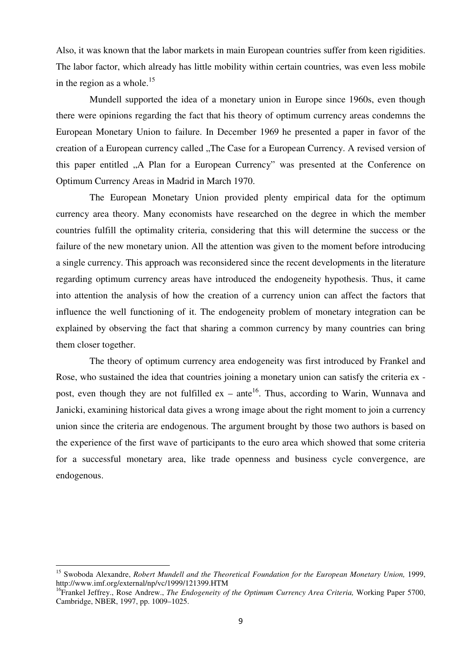Also, it was known that the labor markets in main European countries suffer from keen rigidities. The labor factor, which already has little mobility within certain countries, was even less mobile in the region as a whole.<sup>15</sup>

Mundell supported the idea of a monetary union in Europe since 1960s, even though there were opinions regarding the fact that his theory of optimum currency areas condemns the European Monetary Union to failure. In December 1969 he presented a paper in favor of the creation of a European currency called "The Case for a European Currency. A revised version of this paper entitled "A Plan for a European Currency" was presented at the Conference on Optimum Currency Areas in Madrid in March 1970.

The European Monetary Union provided plenty empirical data for the optimum currency area theory. Many economists have researched on the degree in which the member countries fulfill the optimality criteria, considering that this will determine the success or the failure of the new monetary union. All the attention was given to the moment before introducing a single currency. This approach was reconsidered since the recent developments in the literature regarding optimum currency areas have introduced the endogeneity hypothesis. Thus, it came into attention the analysis of how the creation of a currency union can affect the factors that influence the well functioning of it. The endogeneity problem of monetary integration can be explained by observing the fact that sharing a common currency by many countries can bring them closer together.

The theory of optimum currency area endogeneity was first introduced by Frankel and Rose, who sustained the idea that countries joining a monetary union can satisfy the criteria ex post, even though they are not fulfilled  $ex$  – ante<sup>16</sup>. Thus, according to Warin, Wunnava and Janicki, examining historical data gives a wrong image about the right moment to join a currency union since the criteria are endogenous. The argument brought by those two authors is based on the experience of the first wave of participants to the euro area which showed that some criteria for a successful monetary area, like trade openness and business cycle convergence, are endogenous.

l

<sup>&</sup>lt;sup>15</sup> Swoboda Alexandre, *Robert Mundell and the Theoretical Foundation for the European Monetary Union*, 1999, http://www.imf.org/external/np/vc/1999/121399.HTM

<sup>16</sup>Frankel Jeffrey., Rose Andrew., *The Endogeneity of the Optimum Currency Area Criteria,* Working Paper 5700, Cambridge, NBER, 1997, pp. 1009–1025.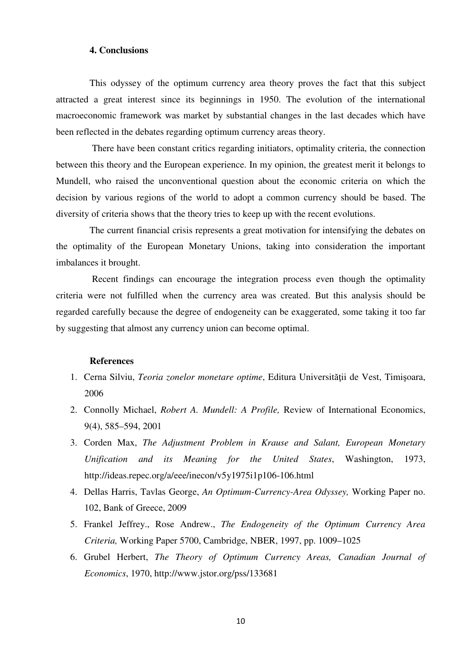### **4. Conclusions**

This odyssey of the optimum currency area theory proves the fact that this subject attracted a great interest since its beginnings in 1950. The evolution of the international macroeconomic framework was market by substantial changes in the last decades which have been reflected in the debates regarding optimum currency areas theory.

 There have been constant critics regarding initiators, optimality criteria, the connection between this theory and the European experience. In my opinion, the greatest merit it belongs to Mundell, who raised the unconventional question about the economic criteria on which the decision by various regions of the world to adopt a common currency should be based. The diversity of criteria shows that the theory tries to keep up with the recent evolutions.

The current financial crisis represents a great motivation for intensifying the debates on the optimality of the European Monetary Unions, taking into consideration the important imbalances it brought.

 Recent findings can encourage the integration process even though the optimality criteria were not fulfilled when the currency area was created. But this analysis should be regarded carefully because the degree of endogeneity can be exaggerated, some taking it too far by suggesting that almost any currency union can become optimal.

#### **References**

- 1. Cerna Silviu, Teoria zonelor monetare optime, Editura Universității de Vest, Timișoara, 2006
- 2. Connolly Michael, *Robert A. Mundell: A Profile,* Review of International Economics, 9(4), 585–594, 2001
- 3. Corden Max, *The Adjustment Problem in Krause and Salant, European Monetary Unification and its Meaning for the United States*, Washington, 1973, http://ideas.repec.org/a/eee/inecon/v5y1975i1p106-106.html
- 4. Dellas Harris, Tavlas George, *An Optimum-Currency-Area Odyssey,* Working Paper no. 102, Bank of Greece, 2009
- 5. Frankel Jeffrey., Rose Andrew., *The Endogeneity of the Optimum Currency Area Criteria,* Working Paper 5700, Cambridge, NBER, 1997, pp. 1009–1025
- 6. Grubel Herbert, *The Theory of Optimum Currency Areas, Canadian Journal of Economics*, 1970, http://www.jstor.org/pss/133681